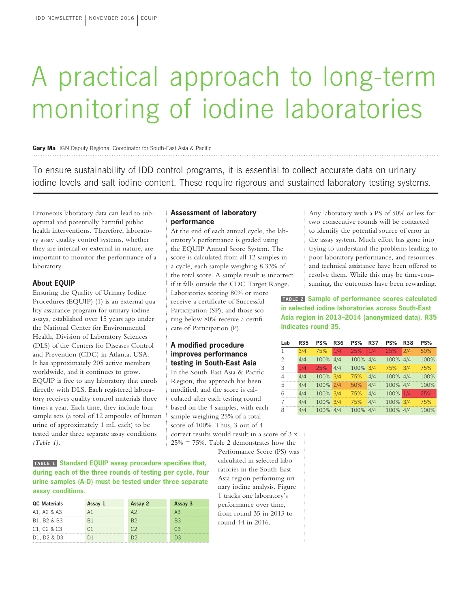# A practical approach to long-term monitoring of iodine laboratories

#### **Gary Ma** IGN Deputy Regional Coordinator for South-East Asia & Pacific

To ensure sustainability of IDD control programs, it is essential to collect accurate data on urinary iodine levels and salt iodine content. These require rigorous and sustained laboratory testing systems.

Erroneous laboratory data can lead to suboptimal and potentially harmful public health interventions. Therefore, laboratory assay quality control systems, whether they are internal or external in nature, are important to monitor the performance of a laboratory.

## **About EQUIP**

Ensuring the Quality of Urinary Iodine Procedures (EQUIP) (1) is an external quality assurance program for urinary iodine assays, established over 15 years ago under the National Center for Environmental Health, Division of Laboratory Sciences (DLS) of the Centers for Diseases Control and Prevention (CDC) in Atlanta, USA. It has approximately 205 active members worldwide, and it continues to grow. EQUIP is free to any laboratory that enrols directly with DLS. Each registered laboratory receives quality control materials three times a year. Each time, they include four sample sets (a total of 12 ampoules of human urine of approximately 1 mL each) to be tested under three separate assay conditions *(Table 1).*

## **Assessment of laboratory performance**

At the end of each annual cycle, the laboratory's performance is graded using the EQUIP Annual Score System. The score is calculated from all 12 samples in a cycle, each sample weighing 8.33% of the total score. A sample result is incorrect if it falls outside the CDC Target Range. Laboratories scoring 80% or more receive a certificate of Successful Participation (SP), and those scoring below 80% receive a certificate of Participation (P).

## **A modified procedure improves performance testing in South-East Asia**

In the South-East Asia & Pacific Region, this approach has been modified, and the score is calculated after each testing round based on the 4 samples, with each sample weighing 25% of a total score of 100%. Thus, 3 out of 4

correct results would result in a score of 3 x 25% = 75%. Table 2 demonstrates how the

> Performance Score (PS) was calculated in selected laboratories in the South-East Asia region performing urinary iodine analysis. Figure 1 tracks one laboratory's performance over time, from round 35 in 2013 to round 44 in 2016.

Any laboratory with a PS of 50% or less for two consecutive rounds will be contacted to identify the potential source of error in the assay system. Much effort has gone into trying to understand the problems leading to poor laboratory performance, and resources and technical assistance have been offered to resolve them. While this may be time-consuming, the outcomes have been rewarding.

**TABLE 2 Sample of performance scores calculated in selected iodine laboratories across South-East Asia region in 2013–2014 (anonymized data). R35 indicates round 35.**

|   | R35             | PS%      | <b>R36</b> | PS%      | R37 | PS%      | <b>R38</b> | PS%     |
|---|-----------------|----------|------------|----------|-----|----------|------------|---------|
|   | 3/4             | 75%      |            | 25%      |     | 25%      | 2/4        | 50%     |
|   | 4/4             | 100% 4/4 |            | 100% 4/4 |     | 100% 4/4 |            | $100\%$ |
|   | 1/4             | 25%      | 4/4        | 100% 3/4 |     | 75%      | 3/4        | 75%     |
|   | 4/4             | 100% 3/4 |            | 75%      | 4/4 | 100% 4/4 |            | $100\%$ |
| 5 | $\Delta/\Delta$ | 100% 2/4 |            | 50%      | 4/4 | 100% 4/4 |            | 100%    |
|   | 4/4             | 100% 3/4 |            | 75%      | 4/4 | 100% 1/4 |            | 25%     |
|   | 4/4             | 100% 3/4 |            | 75%      | 4/4 | 100% 3/4 |            | 75%     |
|   |                 | 100% 4/4 |            | 100%     | 4/4 | 100% 4/4 |            |         |

**TABLE 1 Standard EQUIP assay procedure specifies that, during each of the three rounds of testing per cycle, four urine samples (A-D) must be tested under three separate assay conditions.**

| <b>QC</b> Materials | Assay 1 | Assay 2 | Assay 3 |
|---------------------|---------|---------|---------|
| A1, A2 & A3         |         |         |         |
| B1, B2 & B3         |         |         |         |
| C1, C2 & C3         |         |         |         |
| D1, D2 & D3         |         |         |         |